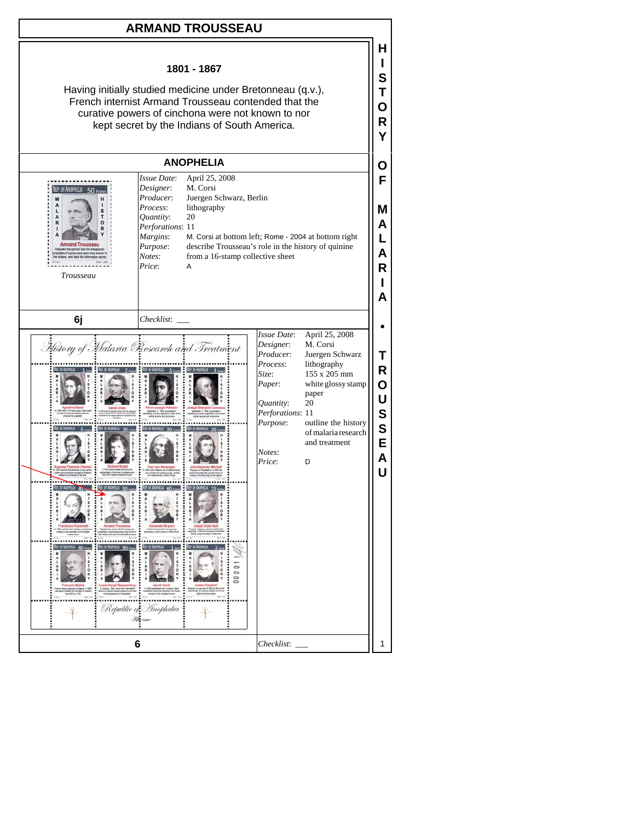